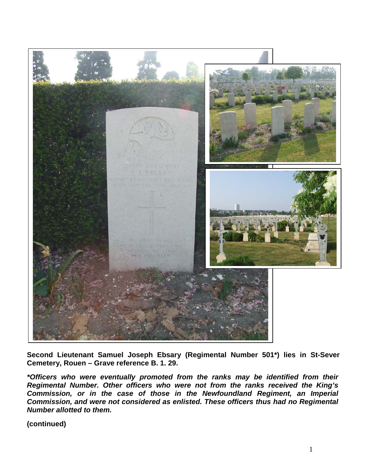

**Second Lieutenant Samuel Joseph Ebsary (Regimental Number 501\*) lies in St-Sever Cemetery, Rouen – Grave reference B. 1. 29.** 

*\*Officers who were eventually promoted from the ranks may be identified from their Regimental Number. Other officers who were not from the ranks received the King's Commission, or in the case of those in the Newfoundland Regiment, an Imperial Commission, and were not considered as enlisted. These officers thus had no Regimental Number allotted to them.*

**(continued)**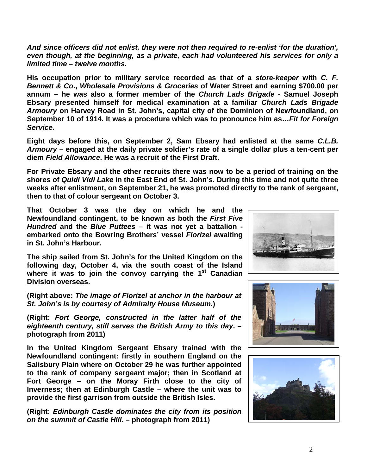*And since officers did not enlist, they were not then required to re-enlist 'for the duration', even though, at the beginning, as a private, each had volunteered his services for only a limited time – twelve months.*

**His occupation prior to military service recorded as that of a** *store-keeper* **with** *C. F. Bennett & Co***.,** *Wholesale Provisions & Groceries* **of Water Street and earning \$700.00 per annum – he was also a former member of the** *Church Lads Brigade* **- Samuel Joseph Ebsary presented himself for medical examination at a familiar** *Church Lads Brigade Armoury* **on Harvey Road in St. John's, capital city of the Dominion of Newfoundland, on September 10 of 1914. It was a procedure which was to pronounce him as…***Fit for Foreign Service.* 

**Eight days before this, on September 2, Sam Ebsary had enlisted at the same** *C.L.B. Armoury* **– engaged at the daily private soldier's rate of a single dollar plus a ten-cent per diem** *Field Allowance***. He was a recruit of the First Draft.**

**For Private Ebsary and the other recruits there was now to be a period of training on the shores of** *Quidi Vidi Lake* **in the East End of St. John's. During this time and not quite three weeks after enlistment, on September 21, he was promoted directly to the rank of sergeant, then to that of colour sergeant on October 3.**

**That October 3 was the day on which he and the Newfoundland contingent, to be known as both the** *First Five Hundred* **and the** *Blue Puttees* **– it was not yet a battalion embarked onto the Bowring Brothers' vessel** *Florizel* **awaiting in St. John's Harbour.**

**The ship sailed from St. John's for the United Kingdom on the following day, October 4, via the south coast of the Island where it was to join the convoy carrying the 1st Canadian Division overseas.**

**(Right above:** *The image of Florizel at anchor in the harbour at St. John's is by courtesy of Admiralty House Museum***.)**

**(Right:** *Fort George, constructed in the latter half of the eighteenth century, still serves the British Army to this day***. – photograph from 2011)**

**In the United Kingdom Sergeant Ebsary trained with the Newfoundland contingent: firstly in southern England on the Salisbury Plain where on October 29 he was further appointed to the rank of company sergeant major; then in Scotland at Fort George – on the Moray Firth close to the city of Inverness; then at Edinburgh Castle – where the unit was to provide the first garrison from outside the British Isles.** 

**(Right:** *Edinburgh Castle dominates the city from its position on the summit of Castle Hill***. – photograph from 2011)**





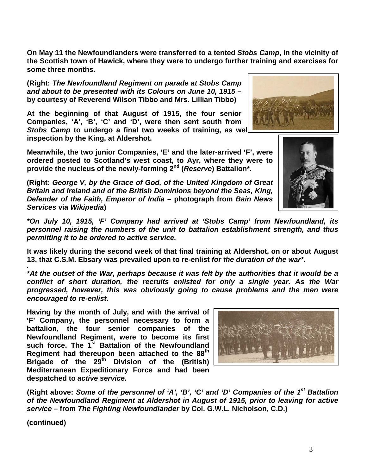**On May 11 the Newfoundlanders were transferred to a tented** *Stobs Camp***, in the vicinity of the Scottish town of Hawick, where they were to undergo further training and exercises for some three months.** 

**(Right:** *The Newfoundland Regiment on parade at Stobs Camp and about to be presented with its Colours on June 10, 1915* **– by courtesy of Reverend Wilson Tibbo and Mrs. Lillian Tibbo)**

**At the beginning of that August of 1915, the four senior Companies, 'A', 'B', 'C' and 'D', were then sent south from Stobs Camp to undergo a final two weeks of training, as well inspection by the King, at Aldershot.** 

**Meanwhile, the two junior Companies, 'E' and the later-arrived 'F', were ordered posted to Scotland's west coast, to Ayr, where they were to provide the nucleus of the newly-forming 2nd (***Reserve***) Battalion\*.**

**(Right:** *George V, by the Grace of God, of the United Kingdom of Great Britain and Ireland and of the British Dominions beyond the Seas, King, Defender of the Faith, Emperor of India* **– photograph from** *Bain News Services* **via** *Wikipedia***)**

*\*On July 10, 1915, 'F' Company had arrived at 'Stobs Camp' from Newfoundland, its personnel raising the numbers of the unit to battalion establishment strength, and thus permitting it to be ordered to active service.*

**It was likely during the second week of that final training at Aldershot, on or about August 13, that C.S.M. Ebsary was prevailed upon to re-enlist** *for the duration of the war\****.**

**\****At the outset of the War, perhaps because it was felt by the authorities that it would be a conflict of short duration, the recruits enlisted for only a single year. As the War progressed, however, this was obviously going to cause problems and the men were encouraged to re-enlist***.**

**Having by the month of July, and with the arrival of 'F' Company, the personnel necessary to form a battalion, the four senior companies of the Newfoundland Regiment, were to become its first such force. The 1st Battalion of the Newfoundland Regiment had thereupon been attached to the 88th Brigade of the 29th Division of the (British) Mediterranean Expeditionary Force and had been despatched to** *active service***.**

(Right above: Some of the personnel of 'A', 'B', 'C' and 'D' Companies of the 1<sup>st</sup> Battalion *of the Newfoundland Regiment at Aldershot in August of 1915, prior to leaving for active service* **– from** *The Fighting Newfoundlander* **by Col. G.W.L. Nicholson, C.D.)**

**(continued)**

**.**





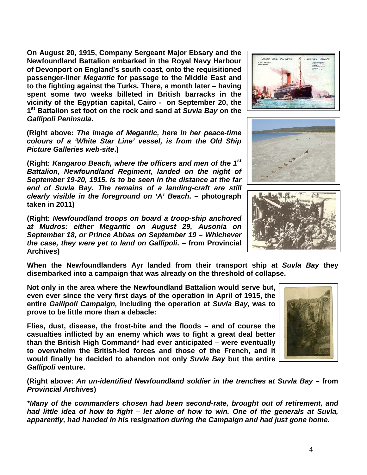**On August 20, 1915, Company Sergeant Major Ebsary and the Newfoundland Battalion embarked in the Royal Navy Harbour of Devonport on England's south coast, onto the requisitioned passenger-liner** *Megantic* **for passage to the Middle East and to the fighting against the Turks. There, a month later – having spent some two weeks billeted in British barracks in the vicinity of the Egyptian capital, Cairo - on September 20, the 1st Battalion set foot on the rock and sand at** *Suvla Bay* **on the**  *Gallipoli Peninsula***.**

**(Right above:** *The image of Megantic, here in her peace-time colours of a 'White Star Line' vessel, is from the Old Ship Picture Galleries web-site***.)**

**(Right:** *Kangaroo Beach, where the officers and men of the 1st Battalion, Newfoundland Regiment, landed on the night of September 19-20, 1915, is to be seen in the distance at the far end of Suvla Bay. The remains of a landing-craft are still clearly visible in the foreground on 'A' Beach***. – photograph taken in 2011)**

**(Right:** *Newfoundland troops on board a troop-ship anchored at Mudros: either Megantic on August 29, Ausonia on September 18, or Prince Abbas on September 19 – Whichever the case, they were yet to land on Gallipoli***. – from Provincial Archives)**

**When the Newfoundlanders Ayr landed from their transport ship at** *Suvla Bay* **they disembarked into a campaign that was already on the threshold of collapse.**

**Not only in the area where the Newfoundland Battalion would serve but, even ever since the very first days of the operation in April of 1915, the entire** *Gallipoli Campaign,* **including the operation at** *Suvla Bay,* **was to** 

**casualties inflicted by an enemy which was to fight a great deal better than the British High Command\* had ever anticipated – were eventually to overwhelm the British-led forces and those of the French, and it would finally be decided to abandon not only** *Suvla Bay* **but the entire**  *Gallipoli* **venture.**

**(Right above:** *An un-identified Newfoundland soldier in the trenches at Suvla Bay –* **from**  *Provincial Archives***)**

*\*Many of the commanders chosen had been second-rate, brought out of retirement, and had little idea of how to fight – let alone of how to win. One of the generals at Suvla, apparently, had handed in his resignation during the Campaign and had just gone home.* 







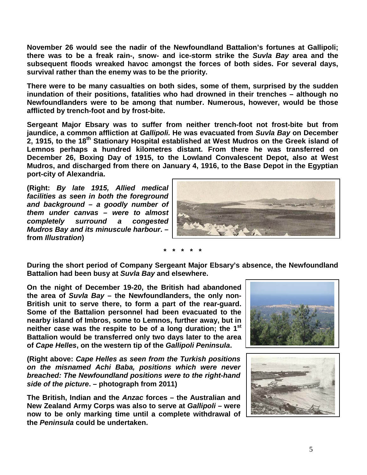**November 26 would see the nadir of the Newfoundland Battalion's fortunes at Gallipoli; there was to be a freak rain-, snow- and ice-storm strike the** *Suvla Bay* **area and the subsequent floods wreaked havoc amongst the forces of both sides. For several days, survival rather than the enemy was to be the priority.**

**There were to be many casualties on both sides, some of them, surprised by the sudden inundation of their positions, fatalities who had drowned in their trenches – although no Newfoundlanders were to be among that number. Numerous, however, would be those afflicted by trench-foot and by frost-bite.**

**Sergeant Major Ebsary was to suffer from neither trench-foot not frost-bite but from jaundice, a common affliction at** *Gallipoli.* **He was evacuated from** *Suvla Bay* **on December 2, 1915, to the 18th Stationary Hospital established at West Mudros on the Greek island of Lemnos perhaps a hundred kilometres distant. From there he was transferred on December 26, Boxing Day of 1915, to the Lowland Convalescent Depot, also at West Mudros, and discharged from there on January 4, 1916, to the Base Depot in the Egyptian port-city of Alexandria.**

**(Right:** *By late 1915, Allied medical facilities as seen in both the foreground and background – a goodly number of them under canvas – were to almost completely surround a congested Mudros Bay and its minuscule harbour***. – from** *Illustration***)**



**\* \* \* \* \***

**During the short period of Company Sergeant Major Ebsary's absence, the Newfoundland Battalion had been busy at** *Suvla Bay* **and elsewhere.**

**On the night of December 19-20, the British had abandoned the area of** *Suvla Bay* **– the Newfoundlanders, the only non-British unit to serve there, to form a part of the rear-guard. Some of the Battalion personnel had been evacuated to the nearby island of Imbros, some to Lemnos, further away, but in neither case was the respite to be of a long duration; the 1st Battalion would be transferred only two days later to the area of** *Cape Helles***, on the western tip of the** *Gallipoli Peninsula***.**

**(Right above:** *Cape Helles as seen from the Turkish positions on the misnamed Achi Baba, positions which were never breached: The Newfoundland positions were to the right-hand side of the picture***. – photograph from 2011)**

**The British, Indian and the** *Anzac* **forces – the Australian and New Zealand Army Corps was also to serve at** *Gallipoli* **– were now to be only marking time until a complete withdrawal of the** *Peninsula* **could be undertaken.** 



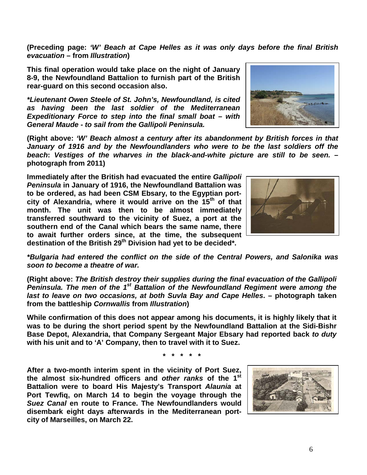**(Preceding page:** *'W' Beach at Cape Helles as it was only days before the final British evacuation* **– from** *Illustration***)**

**This final operation would take place on the night of January 8-9, the Newfoundland Battalion to furnish part of the British rear-guard on this second occasion also.**

*\*Lieutenant Owen Steele of St. John's, Newfoundland, is cited as having been the last soldier of the Mediterranean Expeditionary Force to step into the final small boat – with General Maude - to sail from the Gallipoli Peninsula.*

**(Right above:** *'W' Beach almost a century after its abandonment by British forces in that January of 1916 and by the Newfoundlanders who were to be the last soldiers off the beach***:** *Vestiges of the wharves in the black-and-white picture are still to be seen.* **– photograph from 2011)**

**Immediately after the British had evacuated the entire** *Gallipoli Peninsula* **in January of 1916, the Newfoundland Battalion was to be ordered, as had been CSM Ebsary, to the Egyptian portcity of Alexandria, where it would arrive on the 15th of that month. The unit was then to be almost immediately transferred southward to the vicinity of Suez, a port at the southern end of the Canal which bears the same name, there to await further orders since, at the time, the subsequent**  destination of the British 29<sup>th</sup> Division had yet to be decided\*.

*\*Bulgaria had entered the conflict on the side of the Central Powers, and Salonika was soon to become a theatre of war.*

**(Right above:** *The British destroy their supplies during the final evacuation of the Gallipoli Peninsula. The men of the 1st Battalion of the Newfoundland Regiment were among the last to leave on two occasions, at both Suvla Bay and Cape Helles***. – photograph taken from the battleship** *Cornwallis* **from** *Illustration***)**

**While confirmation of this does not appear among his documents, it is highly likely that it was to be during the short period spent by the Newfoundland Battalion at the Sidi-Bishr Base Depot, Alexandria, that Company Sergeant Major Ebsary had reported back** *to duty* **with his unit and to 'A' Company, then to travel with it to Suez.** 

**\* \* \* \* \***

**After a two-month interim spent in the vicinity of Port Suez, the almost six-hundred officers and** *other ranks* **of the 1st Battalion were to board His Majesty's Transport** *Alaunia* **at Port Tewfiq, on March 14 to begin the voyage through the**  *Suez Canal* **en route to France. The Newfoundlanders would disembark eight days afterwards in the Mediterranean portcity of Marseilles, on March 22.**





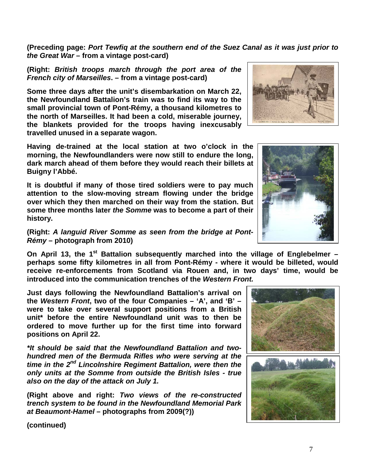**(Preceding page:** *Port Tewfiq at the southern end of the Suez Canal as it was just prior to the Great War* **– from a vintage post-card)**

**(Right:** *British troops march through the port area of the French city of Marseilles***. – from a vintage post-card)**

**Some three days after the unit's disembarkation on March 22, the Newfoundland Battalion's train was to find its way to the small provincial town of Pont-Rémy, a thousand kilometres to the north of Marseilles. It had been a cold, miserable journey, the blankets provided for the troops having inexcusably travelled unused in a separate wagon.**

**Having de-trained at the local station at two o'clock in the morning, the Newfoundlanders were now still to endure the long, dark march ahead of them before they would reach their billets at Buigny l'Abbé.**

**It is doubtful if many of those tired soldiers were to pay much attention to the slow-moving stream flowing under the bridge over which they then marched on their way from the station. But some three months later** *the Somme* **was to become a part of their history.**

**(Right:** *A languid River Somme as seen from the bridge at Pont-Rémy* **– photograph from 2010)**

**On April 13, the 1st Battalion subsequently marched into the village of Englebelmer – perhaps some fifty kilometres in all from Pont-Rémy - where it would be billeted, would receive re-enforcements from Scotland via Rouen and, in two days' time, would be introduced into the communication trenches of the** *Western Front.*

**Just days following the Newfoundland Battalion's arrival on the** *Western Front***, two of the four Companies – 'A', and 'B' – were to take over several support positions from a British unit\* before the entire Newfoundland unit was to then be ordered to move further up for the first time into forward positions on April 22.**

*\*It should be said that the Newfoundland Battalion and twohundred men of the Bermuda Rifles who were serving at the time in the 2nd Lincolnshire Regiment Battalion, were then the only units at the Somme from outside the British Isles - true also on the day of the attack on July 1.*

**(Right above and right:** *Two views of the re-constructed trench system to be found in the Newfoundland Memorial Park at Beaumont-Hamel* **– photographs from 2009(?))**

**(continued)**





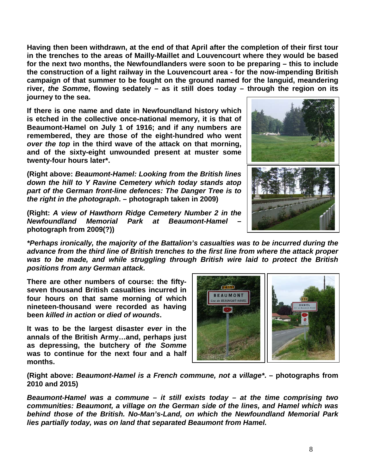**Having then been withdrawn, at the end of that April after the completion of their first tour in the trenches to the areas of Mailly-Maillet and Louvencourt where they would be based for the next two months, the Newfoundlanders were soon to be preparing – this to include the construction of a light railway in the Louvencourt area - for the now-impending British campaign of that summer to be fought on the ground named for the languid, meandering river,** *the Somme***, flowing sedately – as it still does today – through the region on its journey to the sea.** 

**If there is one name and date in Newfoundland history which is etched in the collective once-national memory, it is that of Beaumont-Hamel on July 1 of 1916; and if any numbers are remembered, they are those of the eight-hundred who went**  *over the top* **in the third wave of the attack on that morning, and of the sixty-eight unwounded present at muster some twenty-four hours later\*.**

**(Right above:** *Beaumont-Hamel: Looking from the British lines down the hill to Y Ravine Cemetery which today stands atop part of the German front-line defences: The Danger Tree is to the right in the photograph***. – photograph taken in 2009)**

**(Right:** *A view of Hawthorn Ridge Cemetery Number 2 in the Newfoundland Memorial Park at Beaumont-Hamel* **– photograph from 2009(?))**

*\*Perhaps ironically, the majority of the Battalion's casualties was to be incurred during the advance from the third line of British trenches to the first line from where the attack proper was to be made, and while struggling through British wire laid to protect the British positions from any German attack.*

**There are other numbers of course: the fiftyseven thousand British casualties incurred in four hours on that same morning of which nineteen-thousand were recorded as having been** *killed in action* **or** *died of wounds***.** 

**It was to be the largest disaster** *ever* **in the annals of the British Army…and, perhaps just as depressing, the butchery of** *the Somme* **was to continue for the next four and a half months.**



**(Right above:** *Beaumont-Hamel is a French commune, not a village\****. – photographs from 2010 and 2015)**

*Beaumont-Hamel was a commune – it still exists today – at the time comprising two communities: Beaumont, a village on the German side of the lines, and Hamel which was behind those of the British. No-Man's-Land, on which the Newfoundland Memorial Park lies partially today, was on land that separated Beaumont from Hamel.* 

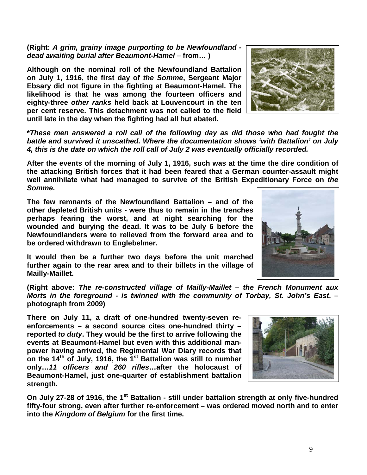*dead awaiting burial after Beaumont-Hamel –* **from… ) Although on the nominal roll of the Newfoundland Battalion** 

**on July 1, 1916, the first day of** *the Somme***, Sergeant Major Ebsary did not figure in the fighting at Beaumont-Hamel. The likelihood is that he was among the fourteen officers and eighty-three** *other ranks* **held back at Louvencourt in the ten per cent reserve. This detachment was not called to the field until late in the day when the fighting had all but abated.**

**(Right:** *A grim, grainy image purporting to be Newfoundland -*

**\****These men answered a roll call of the following day as did those who had fought the battle and survived it unscathed. Where the documentation shows 'with Battalion' on July 4, this is the date on which the roll call of July 2 was eventually officially recorded.*

**After the events of the morning of July 1, 1916, such was at the time the dire condition of the attacking British forces that it had been feared that a German counter-assault might well annihilate what had managed to survive of the British Expeditionary Force on** *the Somme***.** 

**The few remnants of the Newfoundland Battalion – and of the other depleted British units - were thus to remain in the trenches perhaps fearing the worst, and at night searching for the wounded and burying the dead. It was to be July 6 before the Newfoundlanders were to relieved from the forward area and to be ordered withdrawn to Englebelmer.** 

**It would then be a further two days before the unit marched further again to the rear area and to their billets in the village of Mailly-Maillet.**

**(Right above:** *The re-constructed village of Mailly-Maillet – the French Monument aux Morts in the foreground - is twinned with the community of Torbay, St. John's East***. – photograph from 2009)**

**There on July 11, a draft of one-hundred twenty-seven reenforcements – a second source cites one-hundred thirty – reported** *to duty***. They would be the first to arrive following the events at Beaumont-Hamel but even with this additional manpower having arrived, the Regimental War Diary records that on the 14th of July, 1916, the 1st Battalion was still to number only…***11 officers and 260 rifles***…after the holocaust of Beaumont-Hamel, just one-quarter of establishment battalion strength.**

**On July 27-28 of 1916, the 1st Battalion - still under battalion strength at only five-hundred fifty-four strong, even after further re-enforcement – was ordered moved north and to enter into the** *Kingdom of Belgium* **for the first time.** 





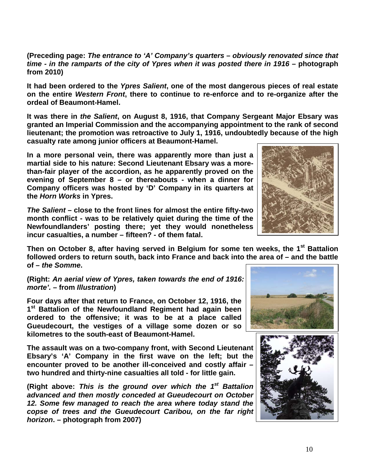**(Preceding page:** *The entrance to 'A' Company's quarters – obviously renovated since that time - in the ramparts of the city of Ypres when it was posted there in 1916 –* **photograph from 2010)**

**It had been ordered to the** *Ypres Salient***, one of the most dangerous pieces of real estate on the entire** *Western Front***, there to continue to re-enforce and to re-organize after the ordeal of Beaumont-Hamel.** 

**It was there in** *the Salient***, on August 8, 1916, that Company Sergeant Major Ebsary was granted an Imperial Commission and the accompanying appointment to the rank of second lieutenant; the promotion was retroactive to July 1, 1916, undoubtedly because of the high casualty rate among junior officers at Beaumont-Hamel.** 

**In a more personal vein, there was apparently more than just a martial side to his nature: Second Lieutenant Ebsary was a morethan-fair player of the accordion, as he apparently proved on the evening of September 8 – or thereabouts - when a dinner for Company officers was hosted by 'D' Company in its quarters at the** *Horn Works* **in Ypres.** 

*The Salient* **– close to the front lines for almost the entire fifty-two month conflict - was to be relatively quiet during the time of the Newfoundlanders' posting there; yet they would nonetheless incur casualties, a number – fifteen? - of them fatal.**

**Then on October 8, after having served in Belgium for some ten weeks, the 1st Battalion followed orders to return south, back into France and back into the area of – and the battle of –** *the Somme***.**

(Right: An aerial view of Ypres, taken towards the end of 1916: *morte'.* **– from** *Illustration***)**

**Four days after that return to France, on October 12, 1916, the 1st Battalion of the Newfoundland Regiment had again been ordered to the offensive; it was to be at a place called Gueudecourt, the vestiges of a village some dozen or so kilometres to the south-east of Beaumont-Hamel.** 

**The assault was on a two-company front, with Second Lieutenant Ebsary's 'A' Company in the first wave on the left; but the encounter proved to be another ill-conceived and costly affair – two hundred and thirty-nine casualties all told - for little gain.** 

**(Right above:** *This is the ground over which the 1st Battalion advanced and then mostly conceded at Gueudecourt on October 12. Some few managed to reach the area where today stand the copse of trees and the Gueudecourt Caribou, on the far right horizon***. – photograph from 2007)**